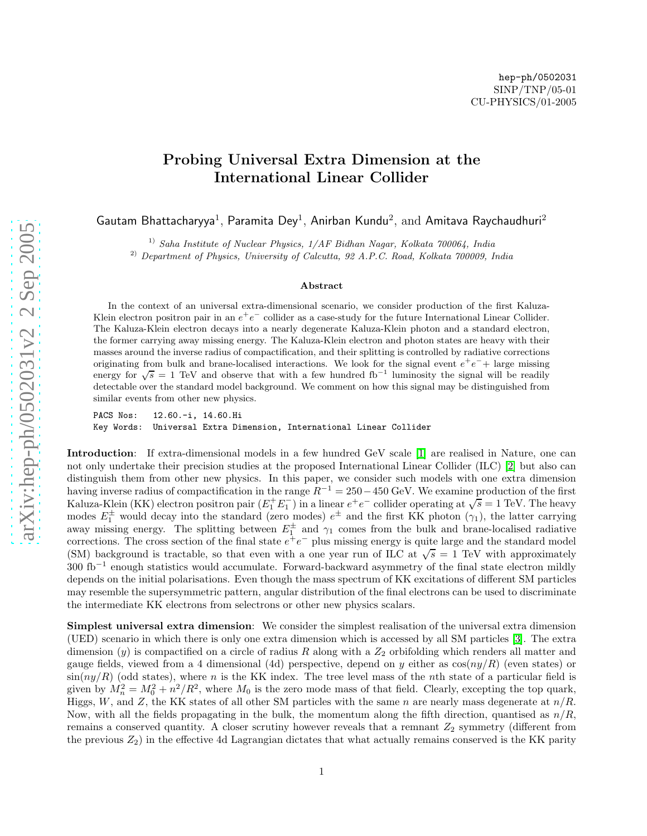## Probing Universal Extra Dimension at the International Linear Collider

Gautam Bhattacharyya<sup>1</sup>, Paramita Dey<sup>1</sup>, Anirban Kundu<sup>2</sup>, and Amitava Raychaudhuri<sup>2</sup>

<sup>1)</sup> Saha Institute of Nuclear Physics,  $1/AF$  Bidhan Nagar, Kolkata 700064, India

<sup>2)</sup> Department of Physics, University of Calcutta, 92 A.P.C. Road, Kolkata 700009, India

## Abstract

In the context of an universal extra-dimensional scenario, we consider production of the first Kaluza-Klein electron positron pair in an  $e^+e^-$  collider as a case-study for the future International Linear Collider. The Kaluza-Klein electron decays into a nearly degenerate Kaluza-Klein photon and a standard electron, the former carrying away missing energy. The Kaluza-Klein electron and photon states are heavy with their masses around the inverse radius of compactification, and their splitting is controlled by radiative corrections originating from bulk and brane-localised interactions. We look for the signal event  $e^+e^-+$  large missing energy for  $\sqrt{s} = 1$  TeV and observe that with a few hundred fb<sup>-1</sup> luminosity the signal will be readily detectable over the standard model background. We comment on how this signal may be distinguished from similar events from other new physics.

PACS Nos: 12.60.-i, 14.60.Hi Key Words: Universal Extra Dimension, International Linear Collider

Introduction: If extra-dimensional models in a few hundred GeV scale [\[1\]](#page-4-0) are realised in Nature, one can not only undertake their precision studies at the proposed International Linear Collider (ILC) [\[2\]](#page-4-1) but also can distinguish them from other new physics. In this paper, we consider such models with one extra dimension having inverse radius of compactification in the range  $R^{-1} = 250 - 450$  GeV. We examine production of the first Kaluza-Klein (KK) electron positron pair  $(E_1^+E_1^-)$  in a linear  $e^+e^-$  collider operating at  $\sqrt{s} = 1$  TeV. The heavy modes  $E_1^{\pm}$  would decay into the standard (zero modes)  $e^{\pm}$  and the first KK photon  $(\gamma_1)$ , the latter carrying away missing energy. The splitting between  $E_1^{\pm}$  and  $\gamma_1$  comes from the bulk and brane-localised radiative corrections. The cross section of the final state  $e^+e^-$  plus missing energy is quite large and the standard model (SM) background is tractable, so that even with a one year run of ILC at  $\sqrt{s} = 1$  TeV with approximately 300 fb<sup>-1</sup> enough statistics would accumulate. Forward-backward asymmetry of the final state electron mildly depends on the initial polarisations. Even though the mass spectrum of KK excitations of different SM particles may resemble the supersymmetric pattern, angular distribution of the final electrons can be used to discriminate the intermediate KK electrons from selectrons or other new physics scalars.

Simplest universal extra dimension: We consider the simplest realisation of the universal extra dimension (UED) scenario in which there is only one extra dimension which is accessed by all SM particles [\[3\]](#page-4-2). The extra dimension (y) is compactified on a circle of radius R along with a  $Z_2$  orbifolding which renders all matter and gauge fields, viewed from a 4 dimensional (4d) perspective, depend on y either as  $\cos(ny/R)$  (even states) or  $\sin(ny/R)$  (odd states), where n is the KK index. The tree level mass of the nth state of a particular field is given by  $M_n^2 = M_0^2 + n^2/R^2$ , where  $M_0$  is the zero mode mass of that field. Clearly, excepting the top quark, Higgs, W, and Z, the KK states of all other SM particles with the same n are nearly mass degenerate at  $n/R$ . Now, with all the fields propagating in the bulk, the momentum along the fifth direction, quantised as  $n/R$ , remains a conserved quantity. A closer scrutiny however reveals that a remnant  $Z_2$  symmetry (different from the previous  $Z_2$ ) in the effective 4d Lagrangian dictates that what actually remains conserved is the KK parity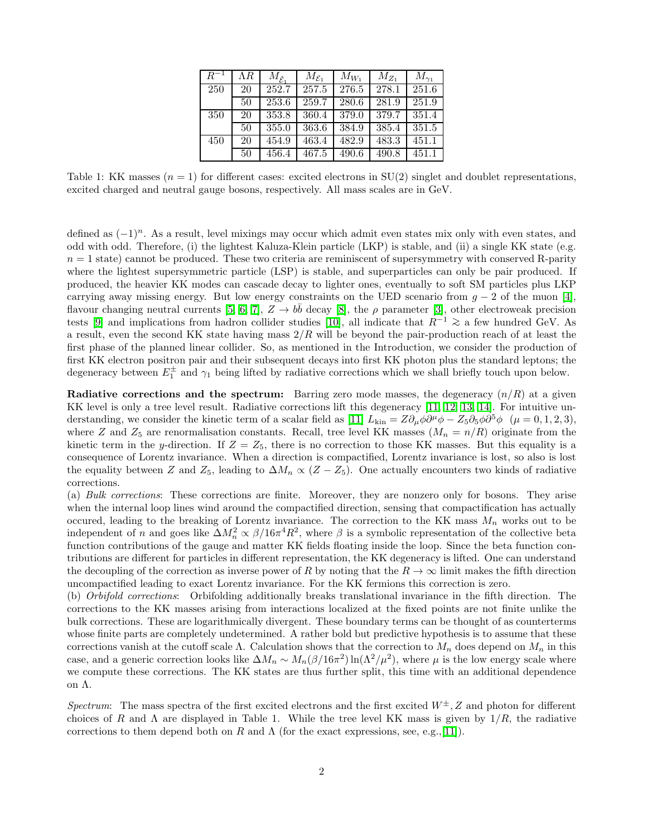|     | $\Lambda R$ | $M_{\hat{\mathcal{E}}_1}$ | $M_{\mathcal{E}_1}$ | $M_{W_1}$ | $M_{Z_1}$ | $M_{\gamma_1}$ |
|-----|-------------|---------------------------|---------------------|-----------|-----------|----------------|
| 250 | 20          | 252.7                     | $\overline{2}57.5$  | 276.5     | 278.1     | 251.6          |
|     | 50          | 253.6                     | 259.7               | 280.6     | 281.9     | 251.9          |
| 350 | 20          | 353.8                     | 360.4               | 379.0     | 379.7     | 351.4          |
|     | 50          | 355.0                     | 363.6               | 384.9     | 385.4     | 351.5          |
| 450 | 20          | 454.9                     | 463.4               | 482.9     | 483.3     | 451.1          |
|     | 50          | 456.4                     | 467.5               | 490.6     | 490.8     | 451.1          |

Table 1: KK masses  $(n = 1)$  for different cases: excited electrons in SU(2) singlet and doublet representations, excited charged and neutral gauge bosons, respectively. All mass scales are in GeV.

defined as  $(-1)^n$ . As a result, level mixings may occur which admit even states mix only with even states, and odd with odd. Therefore, (i) the lightest Kaluza-Klein particle (LKP) is stable, and (ii) a single KK state (e.g.  $n = 1$  state) cannot be produced. These two criteria are reminiscent of supersymmetry with conserved R-parity where the lightest supersymmetric particle (LSP) is stable, and superparticles can only be pair produced. If produced, the heavier KK modes can cascade decay to lighter ones, eventually to soft SM particles plus LKP carrying away missing energy. But low energy constraints on the UED scenario from  $g - 2$  of the muon [\[4\]](#page-4-3), flavour changing neutral currents [\[5,](#page-4-4) [6,](#page-4-5) [7\]](#page-4-6),  $Z \to b\bar{b}$  decay [\[8\]](#page-4-7), the  $\rho$  parameter [\[3\]](#page-4-2), other electroweak precision tests [\[9\]](#page-4-8) and implications from hadron collider studies [\[10\]](#page-5-0), all indicate that  $R^{-1} \ge a$  few hundred GeV. As a result, even the second KK state having mass  $2/R$  will be beyond the pair-production reach of at least the first phase of the planned linear collider. So, as mentioned in the Introduction, we consider the production of first KK electron positron pair and their subsequent decays into first KK photon plus the standard leptons; the degeneracy between  $E_1^{\pm}$  and  $\gamma_1$  being lifted by radiative corrections which we shall briefly touch upon below.

**Radiative corrections and the spectrum:** Barring zero mode masses, the degeneracy  $(n/R)$  at a given KK level is only a tree level result. Radiative corrections lift this degeneracy [\[11,](#page-5-1) [12,](#page-5-2) [13,](#page-5-3) [14\]](#page-5-4). For intuitive un-derstanding, we consider the kinetic term of a scalar field as [\[11\]](#page-5-1)  $L_{kin} = Z \partial_\mu \phi \partial^\mu \phi - Z_5 \partial_5 \phi \partial^5 \phi \ (\mu = 0, 1, 2, 3),$ where Z and  $Z_5$  are renormalisation constants. Recall, tree level KK masses  $(M_n = n/R)$  originate from the kinetic term in the y-direction. If  $Z = Z_5$ , there is no correction to those KK masses. But this equality is a consequence of Lorentz invariance. When a direction is compactified, Lorentz invariance is lost, so also is lost the equality between Z and  $Z_5$ , leading to  $\Delta M_n \propto (Z - Z_5)$ . One actually encounters two kinds of radiative corrections.

(a) Bulk corrections: These corrections are finite. Moreover, they are nonzero only for bosons. They arise when the internal loop lines wind around the compactified direction, sensing that compactification has actually occured, leading to the breaking of Lorentz invariance. The correction to the KK mass  $M_n$  works out to be independent of n and goes like  $\Delta M_n^2 \propto \beta/16\pi^4 R^2$ , where  $\beta$  is a symbolic representation of the collective beta function contributions of the gauge and matter KK fields floating inside the loop. Since the beta function contributions are different for particles in different representation, the KK degeneracy is lifted. One can understand the decoupling of the correction as inverse power of R by noting that the  $R \to \infty$  limit makes the fifth direction uncompactified leading to exact Lorentz invariance. For the KK fermions this correction is zero.

(b) Orbifold corrections: Orbifolding additionally breaks translational invariance in the fifth direction. The corrections to the KK masses arising from interactions localized at the fixed points are not finite unlike the bulk corrections. These are logarithmically divergent. These boundary terms can be thought of as counterterms whose finite parts are completely undetermined. A rather bold but predictive hypothesis is to assume that these corrections vanish at the cutoff scale Λ. Calculation shows that the correction to  $M_n$  does depend on  $M_n$  in this case, and a generic correction looks like  $\Delta M_n \sim M_n(\beta/16\pi^2) \ln(\Lambda^2/\mu^2)$ , where  $\mu$  is the low energy scale where we compute these corrections. The KK states are thus further split, this time with an additional dependence on Λ.

Spectrum: The mass spectra of the first excited electrons and the first excited  $W^{\pm}$ , Z and photon for different choices of R and  $\Lambda$  are displayed in Table 1. While the tree level KK mass is given by  $1/R$ , the radiative corrections to them depend both on R and  $\Lambda$  (for the exact expressions, see, e.g.,[\[11\]](#page-5-1)).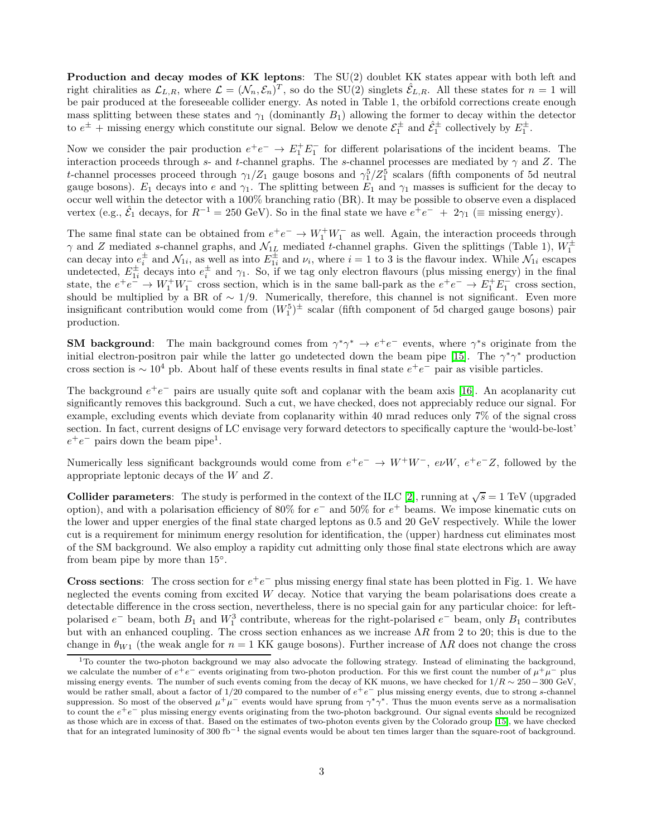Production and decay modes of KK leptons: The SU(2) doublet KK states appear with both left and right chiralities as  $\mathcal{L}_{L,R}$ , where  $\mathcal{L} = (\mathcal{N}_n, \mathcal{E}_n)^T$ , so do the SU(2) singlets  $\hat{\mathcal{E}}_{L,R}$ . All these states for  $n = 1$  will be pair produced at the foreseeable collider energy. As noted in Table 1, the orbifold corrections create enough mass splitting between these states and  $\gamma_1$  (dominantly  $B_1$ ) allowing the former to decay within the detector to  $e^{\pm}$  + missing energy which constitute our signal. Below we denote  $\mathcal{E}_1^{\pm}$  and  $\hat{\mathcal{E}}_1^{\pm}$  collectively by  $E_1^{\pm}$ .

Now we consider the pair production  $e^+e^- \rightarrow E_1^+E_1^-$  for different polarisations of the incident beams. The interaction proceeds through s- and t-channel graphs. The s-channel processes are mediated by  $\gamma$  and Z. The t-channel processes proceed through  $\gamma_1/Z_1$  gauge bosons and  $\gamma_1^5/Z_1^5$  scalars (fifth components of 5d neutral gauge bosons).  $E_1$  decays into e and  $\gamma_1$ . The splitting between  $E_1$  and  $\gamma_1$  masses is sufficient for the decay to occur well within the detector with a 100% branching ratio (BR). It may be possible to observe even a displaced vertex (e.g.,  $\hat{\mathcal{E}}_1$  decays, for  $R^{-1} = 250$  GeV). So in the final state we have  $e^+e^- + 2\gamma_1$  ( $\equiv$  missing energy).

The same final state can be obtained from  $e^+e^- \to W_1^+W_1^-$  as well. Again, the interaction proceeds through  $\gamma$  and Z mediated s-channel graphs, and  $\mathcal{N}_{1L}$  mediated t-channel graphs. Given the splittings (Table 1),  $W_1^{\pm}$ can decay into  $e_i^{\pm}$  $\frac{1}{i}$  and  $\mathcal{N}_{1i}$ , as well as into  $E^{\pm}_{1i}$  and  $\nu_i$ , where  $i = 1$  to 3 is the flavour index. While  $\mathcal{N}_{1i}$  escapes undetected,  $E_{1i}^{\pm}$  decays into  $e_i^{\pm}$  $\frac{1}{i}$  and  $\gamma_1$ . So, if we tag only electron flavours (plus missing energy) in the final state, the  $e^+e^- \rightarrow W_1^+W_1^-$  cross section, which is in the same ball-park as the  $e^+e^- \rightarrow E_1^+E_1^-$  cross section, should be multiplied by a BR of  $\sim 1/9$ . Numerically, therefore, this channel is not significant. Even more insignificant contribution would come from  $(W_1^5)^{\pm}$  scalar (fifth component of 5d charged gauge bosons) pair production.

**SM background:** The main background comes from  $\gamma^*\gamma^* \to e^+e^-$  events, where  $\gamma^*s$  originate from the initial electron-positron pair while the latter go undetected down the beam pipe [\[15\]](#page-5-5). The  $\gamma^*\gamma^*$  production cross section is ~  $10^4$  pb. About half of these events results in final state  $e^+e^-$  pair as visible particles.

The background  $e^+e^-$  pairs are usually quite soft and coplanar with the beam axis [\[16\]](#page-5-6). An acoplanarity cut significantly removes this background. Such a cut, we have checked, does not appreciably reduce our signal. For example, excluding events which deviate from coplanarity within 40 mrad reduces only 7% of the signal cross section. In fact, current designs of LC envisage very forward detectors to specifically capture the 'would-be-lost'  $e^+e^-$  pairs down the beam pipe<sup>1</sup>.

Numerically less significant backgrounds would come from  $e^+e^- \to W^+W^-$ ,  $e\nu W$ ,  $e^+e^-Z$ , followed by the appropriate leptonic decays of the W and Z.

**Collider parameters**: The study is performed in the context of the ILC [\[2\]](#page-4-1), running at  $\sqrt{s} = 1$  TeV (upgraded) option), and with a polarisation efficiency of 80% for  $e^-$  and 50% for  $e^+$  beams. We impose kinematic cuts on the lower and upper energies of the final state charged leptons as 0.5 and 20 GeV respectively. While the lower cut is a requirement for minimum energy resolution for identification, the (upper) hardness cut eliminates most of the SM background. We also employ a rapidity cut admitting only those final state electrons which are away from beam pipe by more than 15°.

**Cross sections:** The cross section for  $e^+e^-$  plus missing energy final state has been plotted in Fig. 1. We have neglected the events coming from excited W decay. Notice that varying the beam polarisations does create a detectable difference in the cross section, nevertheless, there is no special gain for any particular choice: for leftpolarised  $e^-$  beam, both  $B_1$  and  $W_1^3$  contribute, whereas for the right-polarised  $e^-$  beam, only  $B_1$  contributes but with an enhanced coupling. The cross section enhances as we increase  $\Lambda R$  from 2 to 20; this is due to the change in  $\theta_{W1}$  (the weak angle for  $n = 1$  KK gauge bosons). Further increase of  $\Lambda R$  does not change the cross

<sup>&</sup>lt;sup>1</sup>To counter the two-photon background we may also advocate the following strategy. Instead of eliminating the background, we calculate the number of  $e^+e^-$  events originating from two-photon production. For this we first count the number of  $\mu^+\mu^-$  plus missing energy events. The number of such events coming from the decay of KK muons, we have checked for  $1/R \sim 250-300$  GeV, would be rather small, about a factor of  $1/20$  compared to the number of  $e^+e^-$  plus missing energy events, due to strong s-channel suppression. So most of the observed  $\mu^+\mu^-$  events would have sprung from  $\gamma^*\gamma^*$ . Thus the muon events serve as a normalisation to count the  $e^+e^-$  plus missing energy events originating from the two-photon background. Our signal events should be recognized as those which are in excess of that. Based on the estimates of two-photon events given by the Colorado group [\[15\]](#page-5-5), we have checked that for an integrated luminosity of 300 fb−<sup>1</sup> the signal events would be about ten times larger than the square-root of background.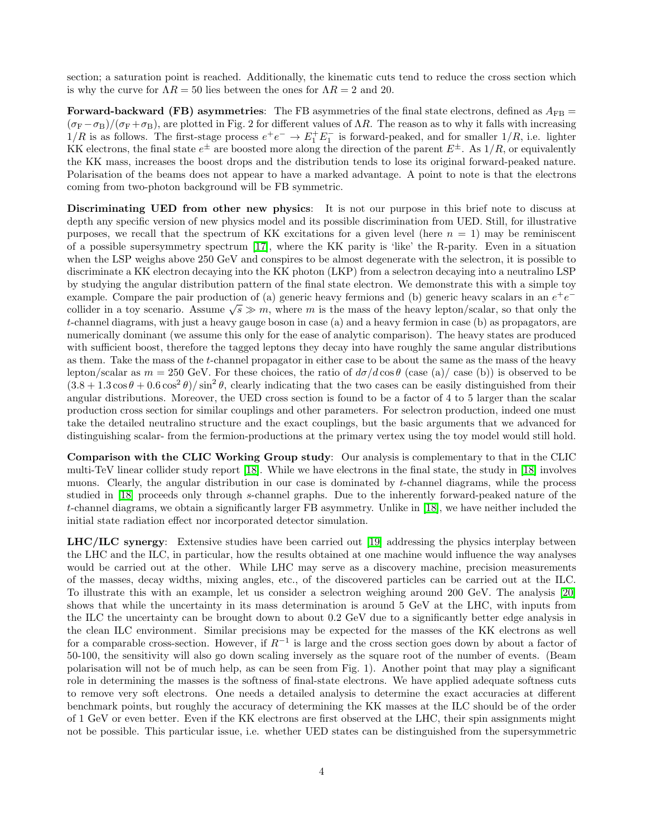section; a saturation point is reached. Additionally, the kinematic cuts tend to reduce the cross section which is why the curve for  $\Lambda R = 50$  lies between the ones for  $\Lambda R = 2$  and 20.

**Forward-backward (FB) asymmetries:** The FB asymmetries of the final state electrons, defined as  $A_{\text{FB}} =$  $(\sigma_F-\sigma_B)/(\sigma_F+\sigma_B)$ , are plotted in Fig. 2 for different values of  $\Lambda R$ . The reason as to why it falls with increasing  $1/R$  is as follows. The first-stage process  $e^+e^- \to E_1^+E_1^-$  is forward-peaked, and for smaller  $1/R$ , i.e. lighter KK electrons, the final state  $e^{\pm}$  are boosted more along the direction of the parent  $E^{\pm}$ . As  $1/R$ , or equivalently the KK mass, increases the boost drops and the distribution tends to lose its original forward-peaked nature. Polarisation of the beams does not appear to have a marked advantage. A point to note is that the electrons coming from two-photon background will be FB symmetric.

Discriminating UED from other new physics: It is not our purpose in this brief note to discuss at depth any specific version of new physics model and its possible discrimination from UED. Still, for illustrative purposes, we recall that the spectrum of KK excitations for a given level (here  $n = 1$ ) may be reminiscent of a possible supersymmetry spectrum [\[17\]](#page-5-7), where the KK parity is 'like' the R-parity. Even in a situation when the LSP weighs above 250 GeV and conspires to be almost degenerate with the selectron, it is possible to discriminate a KK electron decaying into the KK photon (LKP) from a selectron decaying into a neutralino LSP by studying the angular distribution pattern of the final state electron. We demonstrate this with a simple toy example. Compare the pair production of (a) generic heavy fermions and (b) generic heavy scalars in an  $e^+e^$ collider in a toy scenario. Assume  $\sqrt{s} \gg m$ , where m is the mass of the heavy lepton/scalar, so that only the t-channel diagrams, with just a heavy gauge boson in case (a) and a heavy fermion in case (b) as propagators, are numerically dominant (we assume this only for the ease of analytic comparison). The heavy states are produced with sufficient boost, therefore the tagged leptons they decay into have roughly the same angular distributions as them. Take the mass of the t-channel propagator in either case to be about the same as the mass of the heavy lepton/scalar as  $m = 250$  GeV. For these choices, the ratio of  $d\sigma/d\cos\theta$  (case (a)/ case (b)) is observed to be  $(3.8 + 1.3 \cos \theta + 0.6 \cos^2 \theta)/\sin^2 \theta$ , clearly indicating that the two cases can be easily distinguished from their angular distributions. Moreover, the UED cross section is found to be a factor of 4 to 5 larger than the scalar production cross section for similar couplings and other parameters. For selectron production, indeed one must take the detailed neutralino structure and the exact couplings, but the basic arguments that we advanced for distinguishing scalar- from the fermion-productions at the primary vertex using the toy model would still hold.

Comparison with the CLIC Working Group study: Our analysis is complementary to that in the CLIC multi-TeV linear collider study report [\[18\]](#page-5-8). While we have electrons in the final state, the study in [\[18\]](#page-5-8) involves muons. Clearly, the angular distribution in our case is dominated by t-channel diagrams, while the process studied in [\[18\]](#page-5-8) proceeds only through s-channel graphs. Due to the inherently forward-peaked nature of the t-channel diagrams, we obtain a significantly larger FB asymmetry. Unlike in [\[18\]](#page-5-8), we have neither included the initial state radiation effect nor incorporated detector simulation.

LHC/ILC synergy: Extensive studies have been carried out [\[19\]](#page-5-9) addressing the physics interplay between the LHC and the ILC, in particular, how the results obtained at one machine would influence the way analyses would be carried out at the other. While LHC may serve as a discovery machine, precision measurements of the masses, decay widths, mixing angles, etc., of the discovered particles can be carried out at the ILC. To illustrate this with an example, let us consider a selectron weighing around 200 GeV. The analysis [\[20\]](#page-5-10) shows that while the uncertainty in its mass determination is around 5 GeV at the LHC, with inputs from the ILC the uncertainty can be brought down to about 0.2 GeV due to a significantly better edge analysis in the clean ILC environment. Similar precisions may be expected for the masses of the KK electrons as well for a comparable cross-section. However, if  $R^{-1}$  is large and the cross section goes down by about a factor of 50-100, the sensitivity will also go down scaling inversely as the square root of the number of events. (Beam polarisation will not be of much help, as can be seen from Fig. 1). Another point that may play a significant role in determining the masses is the softness of final-state electrons. We have applied adequate softness cuts to remove very soft electrons. One needs a detailed analysis to determine the exact accuracies at different benchmark points, but roughly the accuracy of determining the KK masses at the ILC should be of the order of 1 GeV or even better. Even if the KK electrons are first observed at the LHC, their spin assignments might not be possible. This particular issue, i.e. whether UED states can be distinguished from the supersymmetric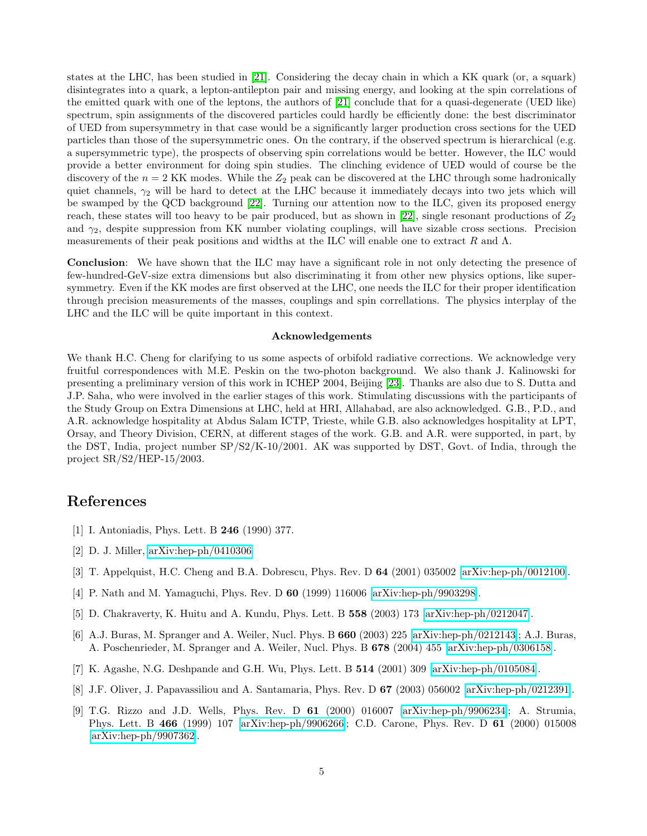states at the LHC, has been studied in [\[21\]](#page-5-11). Considering the decay chain in which a KK quark (or, a squark) disintegrates into a quark, a lepton-antilepton pair and missing energy, and looking at the spin correlations of the emitted quark with one of the leptons, the authors of [\[21\]](#page-5-11) conclude that for a quasi-degenerate (UED like) spectrum, spin assignments of the discovered particles could hardly be efficiently done: the best discriminator of UED from supersymmetry in that case would be a significantly larger production cross sections for the UED particles than those of the supersymmetric ones. On the contrary, if the observed spectrum is hierarchical (e.g. a supersymmetric type), the prospects of observing spin correlations would be better. However, the ILC would provide a better environment for doing spin studies. The clinching evidence of UED would of course be the discovery of the  $n = 2$  KK modes. While the  $Z_2$  peak can be discovered at the LHC through some hadronically quiet channels,  $\gamma_2$  will be hard to detect at the LHC because it immediately decays into two jets which will be swamped by the QCD background [\[22\]](#page-5-12). Turning our attention now to the ILC, given its proposed energy reach, these states will too heavy to be pair produced, but as shown in [\[22\]](#page-5-12), single resonant productions of  $Z_2$ and  $\gamma_2$ , despite suppression from KK number violating couplings, will have sizable cross sections. Precision measurements of their peak positions and widths at the ILC will enable one to extract R and  $\Lambda$ .

Conclusion: We have shown that the ILC may have a significant role in not only detecting the presence of few-hundred-GeV-size extra dimensions but also discriminating it from other new physics options, like supersymmetry. Even if the KK modes are first observed at the LHC, one needs the ILC for their proper identification through precision measurements of the masses, couplings and spin correllations. The physics interplay of the LHC and the ILC will be quite important in this context.

## Acknowledgements

We thank H.C. Cheng for clarifying to us some aspects of orbifold radiative corrections. We acknowledge very fruitful correspondences with M.E. Peskin on the two-photon background. We also thank J. Kalinowski for presenting a preliminary version of this work in ICHEP 2004, Beijing [\[23\]](#page-5-13). Thanks are also due to S. Dutta and J.P. Saha, who were involved in the earlier stages of this work. Stimulating discussions with the participants of the Study Group on Extra Dimensions at LHC, held at HRI, Allahabad, are also acknowledged. G.B., P.D., and A.R. acknowledge hospitality at Abdus Salam ICTP, Trieste, while G.B. also acknowledges hospitality at LPT, Orsay, and Theory Division, CERN, at different stages of the work. G.B. and A.R. were supported, in part, by the DST, India, project number SP/S2/K-10/2001. AK was supported by DST, Govt. of India, through the project SR/S2/HEP-15/2003.

## <span id="page-4-0"></span>References

- <span id="page-4-1"></span>[1] I. Antoniadis, Phys. Lett. B 246 (1990) 377.
- <span id="page-4-2"></span>[2] D. J. Miller, [arXiv:hep-ph/0410306.](http://arxiv.org/abs/hep-ph/0410306)
- <span id="page-4-3"></span>[3] T. Appelquist, H.C. Cheng and B.A. Dobrescu, Phys. Rev. D 64 (2001) 035002 [\[arXiv:hep-ph/0012100\]](http://arxiv.org/abs/hep-ph/0012100).
- <span id="page-4-4"></span>[4] P. Nath and M. Yamaguchi, Phys. Rev. D 60 (1999) 116006 [\[arXiv:hep-ph/9903298\]](http://arxiv.org/abs/hep-ph/9903298).
- <span id="page-4-5"></span>[5] D. Chakraverty, K. Huitu and A. Kundu, Phys. Lett. B 558 (2003) 173 [\[arXiv:hep-ph/0212047\]](http://arxiv.org/abs/hep-ph/0212047).
- [6] A.J. Buras, M. Spranger and A. Weiler, Nucl. Phys. B 660 (2003) 225 [\[arXiv:hep-ph/0212143\]](http://arxiv.org/abs/hep-ph/0212143); A.J. Buras, A. Poschenrieder, M. Spranger and A. Weiler, Nucl. Phys. B 678 (2004) 455 [\[arXiv:hep-ph/0306158\]](http://arxiv.org/abs/hep-ph/0306158).
- <span id="page-4-7"></span><span id="page-4-6"></span>[7] K. Agashe, N.G. Deshpande and G.H. Wu, Phys. Lett. B 514 (2001) 309 [\[arXiv:hep-ph/0105084\]](http://arxiv.org/abs/hep-ph/0105084).
- <span id="page-4-8"></span>[8] J.F. Oliver, J. Papavassiliou and A. Santamaria, Phys. Rev. D 67 (2003) 056002 [\[arXiv:hep-ph/0212391\]](http://arxiv.org/abs/hep-ph/0212391).
- [9] T.G. Rizzo and J.D. Wells, Phys. Rev. D 61 (2000) 016007 [\[arXiv:hep-ph/9906234\]](http://arxiv.org/abs/hep-ph/9906234); A. Strumia, Phys. Lett. B 466 (1999) 107 [\[arXiv:hep-ph/9906266\]](http://arxiv.org/abs/hep-ph/9906266); C.D. Carone, Phys. Rev. D 61 (2000) 015008 [\[arXiv:hep-ph/9907362\]](http://arxiv.org/abs/hep-ph/9907362).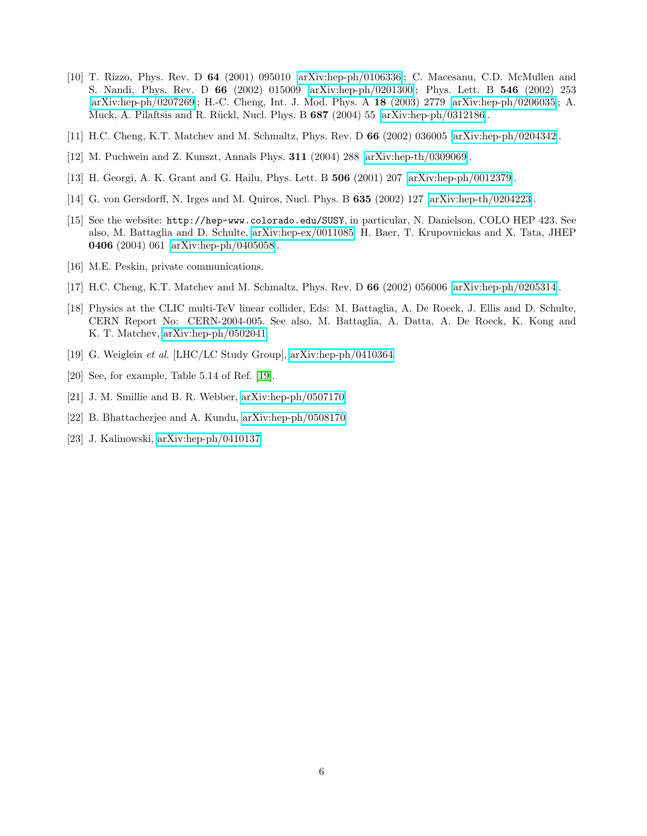- <span id="page-5-0"></span>[10] T. Rizzo, Phys. Rev. D 64 (2001) 095010 [\[arXiv:hep-ph/0106336\]](http://arxiv.org/abs/hep-ph/0106336); C. Macesanu, C.D. McMullen and S. Nandi, Phys. Rev. D 66 (2002) 015009 [\[arXiv:hep-ph/0201300\]](http://arxiv.org/abs/hep-ph/0201300); Phys. Lett. B 546 (2002) 253 [\[arXiv:hep-ph/0207269\]](http://arxiv.org/abs/hep-ph/0207269); H.-C. Cheng, Int. J. Mod. Phys. A 18 (2003) 2779 [\[arXiv:hep-ph/0206035\]](http://arxiv.org/abs/hep-ph/0206035); A. Muck, A. Pilaftsis and R. Rückl, Nucl. Phys. B 687 (2004) 55 [\[arXiv:hep-ph/0312186\]](http://arxiv.org/abs/hep-ph/0312186).
- <span id="page-5-2"></span><span id="page-5-1"></span>[11] H.C. Cheng, K.T. Matchev and M. Schmaltz, Phys. Rev. D 66 (2002) 036005 [\[arXiv:hep-ph/0204342\]](http://arxiv.org/abs/hep-ph/0204342).
- <span id="page-5-3"></span>[12] M. Puchwein and Z. Kunszt, Annals Phys. 311 (2004) 288 [\[arXiv:hep-th/0309069\]](http://arxiv.org/abs/hep-th/0309069).
- <span id="page-5-4"></span>[13] H. Georgi, A. K. Grant and G. Hailu, Phys. Lett. B 506 (2001) 207 [\[arXiv:hep-ph/0012379\]](http://arxiv.org/abs/hep-ph/0012379).
- <span id="page-5-5"></span>[14] G. von Gersdorff, N. Irges and M. Quiros, Nucl. Phys. B 635 (2002) 127 [\[arXiv:hep-th/0204223\]](http://arxiv.org/abs/hep-th/0204223).
- [15] See the website: http://hep-www.colorado.edu/SUSY, in particular, N. Danielson, COLO HEP 423. See also, M. Battaglia and D. Schulte, [arXiv:hep-ex/0011085;](http://arxiv.org/abs/hep-ex/0011085) H. Baer, T. Krupovnickas and X. Tata, JHEP 0406 (2004) 061 [\[arXiv:hep-ph/0405058\]](http://arxiv.org/abs/hep-ph/0405058).
- <span id="page-5-7"></span><span id="page-5-6"></span>[16] M.E. Peskin, private communications.
- <span id="page-5-8"></span>[17] H.C. Cheng, K.T. Matchev and M. Schmaltz, Phys. Rev. D 66 (2002) 056006 [\[arXiv:hep-ph/0205314\]](http://arxiv.org/abs/hep-ph/0205314).
- [18] Physics at the CLIC multi-TeV linear collider, Eds: M. Battaglia, A. De Roeck, J. Ellis and D. Schulte, CERN Report No: CERN-2004-005. See also, M. Battaglia, A. Datta, A. De Roeck, K. Kong and K. T. Matchev, [arXiv:hep-ph/0502041.](http://arxiv.org/abs/hep-ph/0502041)
- <span id="page-5-10"></span><span id="page-5-9"></span>[19] G. Weiglein et al. [LHC/LC Study Group], [arXiv:hep-ph/0410364.](http://arxiv.org/abs/hep-ph/0410364)
- <span id="page-5-11"></span>[20] See, for example, Table 5.14 of Ref. [\[19\]](#page-5-9).
- <span id="page-5-12"></span>[21] J. M. Smillie and B. R. Webber, [arXiv:hep-ph/0507170.](http://arxiv.org/abs/hep-ph/0507170)
- <span id="page-5-13"></span>[22] B. Bhattacherjee and A. Kundu, [arXiv:hep-ph/0508170.](http://arxiv.org/abs/hep-ph/0508170)
- [23] J. Kalinowski, [arXiv:hep-ph/0410137.](http://arxiv.org/abs/hep-ph/0410137)